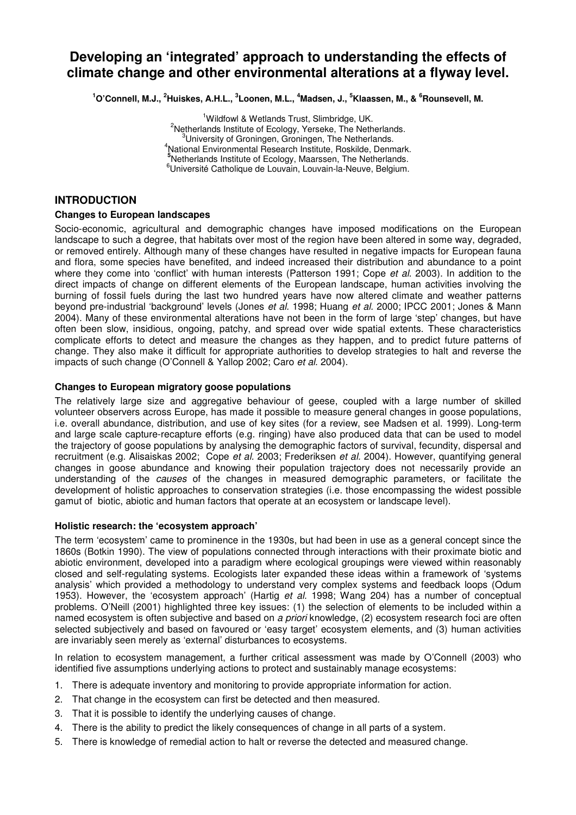# **Developing an 'integrated' approach to understanding the effects of climate change and other environmental alterations at a flyway level.**

 $^1$ O'Connell, M.J.,  $^2$ Huiskes, A.H.L.,  $^3$ Loonen, M.L.,  $^4$ Madsen, J.,  $^5$ Klaassen, M., &  $^6$ Rounsevell, M.

<sup>1</sup>Wildfowl & Wetlands Trust, Slimbridge, UK. <sup>2</sup>Netherlands Institute of Ecology, Yerseke, The Netherlands. <sup>3</sup>University of Groningen, Groningen, The Netherlands. <sup>4</sup>National Environmental Research Institute, Roskilde, Denmark. **<sup>5</sup>**Netherlands Institute of Ecology, Maarssen, The Netherlands. <sup>6</sup>Université Catholique de Louvain, Louvain-la-Neuve, Belgium.

# **INTRODUCTION**

## **Changes to European landscapes**

Socio-economic, agricultural and demographic changes have imposed modifications on the European landscape to such a degree, that habitats over most of the region have been altered in some way, degraded, or removed entirely. Although many of these changes have resulted in negative impacts for European fauna and flora, some species have benefited, and indeed increased their distribution and abundance to a point where they come into 'conflict' with human interests (Patterson 1991; Cope et al. 2003). In addition to the direct impacts of change on different elements of the European landscape, human activities involving the burning of fossil fuels during the last two hundred years have now altered climate and weather patterns beyond pre-industrial 'background' levels (Jones et al. 1998; Huang et al. 2000; IPCC 2001; Jones & Mann 2004). Many of these environmental alterations have not been in the form of large 'step' changes, but have often been slow, insidious, ongoing, patchy, and spread over wide spatial extents. These characteristics complicate efforts to detect and measure the changes as they happen, and to predict future patterns of change. They also make it difficult for appropriate authorities to develop strategies to halt and reverse the impacts of such change (O'Connell & Yallop 2002; Caro et al. 2004).

## **Changes to European migratory goose populations**

The relatively large size and aggregative behaviour of geese, coupled with a large number of skilled volunteer observers across Europe, has made it possible to measure general changes in goose populations, i.e. overall abundance, distribution, and use of key sites (for a review, see Madsen et al. 1999). Long-term and large scale capture-recapture efforts (e.g. ringing) have also produced data that can be used to model the trajectory of goose populations by analysing the demographic factors of survival, fecundity, dispersal and recruitment (e.g. Alisaiskas 2002; Cope et al. 2003; Frederiksen et al. 2004). However, quantifying general changes in goose abundance and knowing their population trajectory does not necessarily provide an understanding of the causes of the changes in measured demographic parameters, or facilitate the development of holistic approaches to conservation strategies (i.e. those encompassing the widest possible gamut of biotic, abiotic and human factors that operate at an ecosystem or landscape level).

#### **Holistic research: the 'ecosystem approach'**

The term 'ecosystem' came to prominence in the 1930s, but had been in use as a general concept since the 1860s (Botkin 1990). The view of populations connected through interactions with their proximate biotic and abiotic environment, developed into a paradigm where ecological groupings were viewed within reasonably closed and self-regulating systems. Ecologists later expanded these ideas within a framework of 'systems analysis' which provided a methodology to understand very complex systems and feedback loops (Odum 1953). However, the 'ecosystem approach' (Hartig et al. 1998; Wang 204) has a number of conceptual problems. O'Neill (2001) highlighted three key issues: (1) the selection of elements to be included within a named ecosystem is often subjective and based on a priori knowledge, (2) ecosystem research foci are often selected subjectively and based on favoured or 'easy target' ecosystem elements, and (3) human activities are invariably seen merely as 'external' disturbances to ecosystems.

In relation to ecosystem management, a further critical assessment was made by O'Connell (2003) who identified five assumptions underlying actions to protect and sustainably manage ecosystems:

- 1. There is adequate inventory and monitoring to provide appropriate information for action.
- 2. That change in the ecosystem can first be detected and then measured.
- 3. That it is possible to identify the underlying causes of change.
- 4. There is the ability to predict the likely consequences of change in all parts of a system.
- 5. There is knowledge of remedial action to halt or reverse the detected and measured change.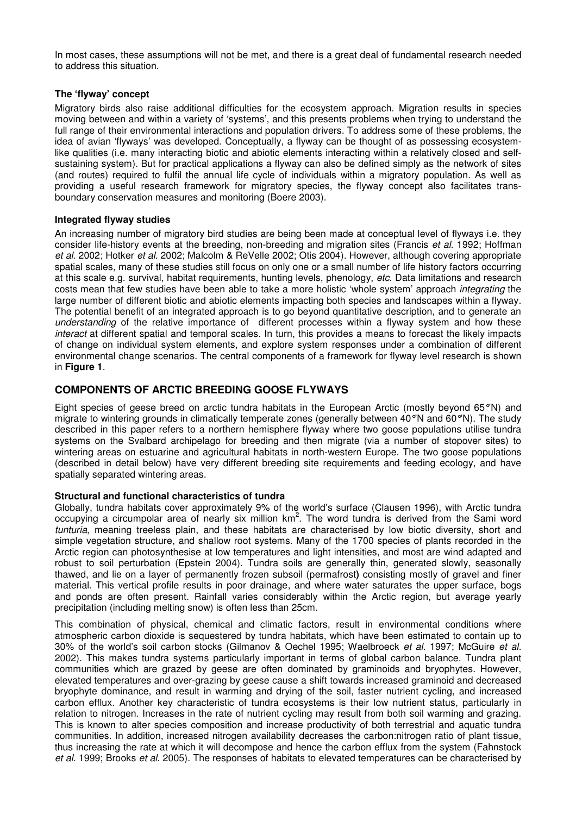In most cases, these assumptions will not be met, and there is a great deal of fundamental research needed to address this situation.

# **The 'flyway' concept**

Migratory birds also raise additional difficulties for the ecosystem approach. Migration results in species moving between and within a variety of 'systems', and this presents problems when trying to understand the full range of their environmental interactions and population drivers. To address some of these problems, the idea of avian 'flyways' was developed. Conceptually, a flyway can be thought of as possessing ecosystemlike qualities (i.e. many interacting biotic and abiotic elements interacting within a relatively closed and selfsustaining system). But for practical applications a flyway can also be defined simply as the network of sites (and routes) required to fulfil the annual life cycle of individuals within a migratory population. As well as providing a useful research framework for migratory species, the flyway concept also facilitates transboundary conservation measures and monitoring (Boere 2003).

## **Integrated flyway studies**

An increasing number of migratory bird studies are being been made at conceptual level of flyways i.e. they consider life-history events at the breeding, non-breeding and migration sites (Francis et al. 1992; Hoffman et al. 2002; Hotker et al. 2002; Malcolm & ReVelle 2002; Otis 2004). However, although covering appropriate spatial scales, many of these studies still focus on only one or a small number of life history factors occurring at this scale e.g. survival, habitat requirements, hunting levels, phenology, etc. Data limitations and research costs mean that few studies have been able to take a more holistic 'whole system' approach integrating the large number of different biotic and abiotic elements impacting both species and landscapes within a flyway. The potential benefit of an integrated approach is to go beyond quantitative description, and to generate an understanding of the relative importance of different processes within a flyway system and how these interact at different spatial and temporal scales. In turn, this provides a means to forecast the likely impacts of change on individual system elements, and explore system responses under a combination of different environmental change scenarios. The central components of a framework for flyway level research is shown in **Figure 1**.

# **COMPONENTS OF ARCTIC BREEDING GOOSE FLYWAYS**

Eight species of geese breed on arctic tundra habitats in the European Arctic (mostly beyond 65°'N) and migrate to wintering grounds in climatically temperate zones (generally between 40°'N and 60°'N). The study described in this paper refers to a northern hemisphere flyway where two goose populations utilise tundra systems on the Svalbard archipelago for breeding and then migrate (via a number of stopover sites) to wintering areas on estuarine and agricultural habitats in north-western Europe. The two goose populations (described in detail below) have very different breeding site requirements and feeding ecology, and have spatially separated wintering areas.

# **Structural and functional characteristics of tundra**

Globally, tundra habitats cover approximately 9% of the world's surface (Clausen 1996), with Arctic tundra occupying a circumpolar area of nearly six million  $km^2$ . The word tundra is derived from the Sami word tunturia, meaning treeless plain, and these habitats are characterised by low biotic diversity, short and simple vegetation structure, and shallow root systems. Many of the 1700 species of plants recorded in the Arctic region can photosynthesise at low temperatures and light intensities, and most are wind adapted and robust to soil perturbation (Epstein 2004). Tundra soils are generally thin, generated slowly, seasonally thawed, and lie on a layer of permanently frozen subsoil (permafrost**)** consisting mostly of gravel and finer material. This vertical profile results in poor drainage, and where water saturates the upper surface, bogs and ponds are often present. Rainfall varies considerably within the Arctic region, but average yearly precipitation (including melting snow) is often less than 25cm.

This combination of physical, chemical and climatic factors, result in environmental conditions where atmospheric carbon dioxide is sequestered by tundra habitats, which have been estimated to contain up to 30% of the world's soil carbon stocks (Gilmanov & Oechel 1995; Waelbroeck et al. 1997; McGuire et al. 2002). This makes tundra systems particularly important in terms of global carbon balance. Tundra plant communities which are grazed by geese are often dominated by graminoids and bryophytes. However, elevated temperatures and over-grazing by geese cause a shift towards increased graminoid and decreased bryophyte dominance, and result in warming and drying of the soil, faster nutrient cycling, and increased carbon efflux. Another key characteristic of tundra ecosystems is their low nutrient status, particularly in relation to nitrogen. Increases in the rate of nutrient cycling may result from both soil warming and grazing. This is known to alter species composition and increase productivity of both terrestrial and aquatic tundra communities. In addition, increased nitrogen availability decreases the carbon:nitrogen ratio of plant tissue, thus increasing the rate at which it will decompose and hence the carbon efflux from the system (Fahnstock et al. 1999; Brooks et al. 2005). The responses of habitats to elevated temperatures can be characterised by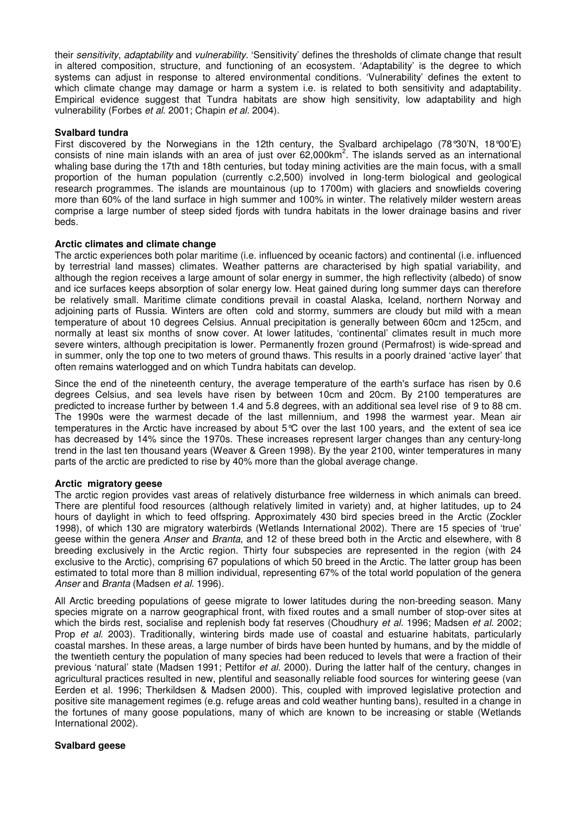their sensitivity, adaptability and vulnerability. 'Sensitivity' defines the thresholds of climate change that result in altered composition, structure, and functioning of an ecosystem. 'Adaptability' is the degree to which systems can adjust in response to altered environmental conditions. 'Vulnerability' defines the extent to which climate change may damage or harm a system i.e. is related to both sensitivity and adaptability. Empirical evidence suggest that Tundra habitats are show high sensitivity, low adaptability and high vulnerability (Forbes et al. 2001; Chapin et al. 2004).

#### **Svalbard tundra**

First discovered by the Norwegians in the 12th century, the Svalbard archipelago (78°30'N, 18°00'E) consists of nine main islands with an area of just over  $62,000$ km<sup>2</sup>. The islands served as an international whaling base during the 17th and 18th centuries, but today mining activities are the main focus, with a small proportion of the human population (currently c.2,500) involved in long-term biological and geological research programmes. The islands are mountainous (up to 1700m) with glaciers and snowfields covering more than 60% of the land surface in high summer and 100% in winter. The relatively milder western areas comprise a large number of steep sided fjords with tundra habitats in the lower drainage basins and river beds.

## **Arctic climates and climate change**

The arctic experiences both polar maritime (i.e. influenced by oceanic factors) and continental (i.e. influenced by terrestrial land masses) climates. Weather patterns are characterised by high spatial variability, and although the region receives a large amount of solar energy in summer, the high reflectivity (albedo) of snow and ice surfaces keeps absorption of solar energy low. Heat gained during long summer days can therefore be relatively small. Maritime climate conditions prevail in coastal Alaska, Iceland, northern Norway and adjoining parts of Russia. Winters are often cold and stormy, summers are cloudy but mild with a mean temperature of about 10 degrees Celsius. Annual precipitation is generally between 60cm and 125cm, and normally at least six months of snow cover. At lower latitudes, 'continental' climates result in much more severe winters, although precipitation is lower. Permanently frozen ground (Permafrost) is wide-spread and in summer, only the top one to two meters of ground thaws. This results in a poorly drained 'active layer' that often remains waterlogged and on which Tundra habitats can develop.

Since the end of the nineteenth century, the average temperature of the earth's surface has risen by 0.6 degrees Celsius, and sea levels have risen by between 10cm and 20cm. By 2100 temperatures are predicted to increase further by between 1.4 and 5.8 degrees, with an additional sea level rise of 9 to 88 cm. The 1990s were the warmest decade of the last millennium, and 1998 the warmest year. Mean air temperatures in the Arctic have increased by about 5°C over the last 100 years, and the extent of sea ice has decreased by 14% since the 1970s. These increases represent larger changes than any century-long trend in the last ten thousand years (Weaver & Green 1998). By the year 2100, winter temperatures in many parts of the arctic are predicted to rise by 40% more than the global average change.

#### **Arctic migratory geese**

The arctic region provides vast areas of relatively disturbance free wilderness in which animals can breed. There are plentiful food resources (although relatively limited in variety) and, at higher latitudes, up to 24 hours of daylight in which to feed offspring. Approximately 430 bird species breed in the Arctic (Zockler 1998), of which 130 are migratory waterbirds (Wetlands International 2002). There are 15 species of 'true' geese within the genera Anser and Branta, and 12 of these breed both in the Arctic and elsewhere, with 8 breeding exclusively in the Arctic region. Thirty four subspecies are represented in the region (with 24 exclusive to the Arctic), comprising 67 populations of which 50 breed in the Arctic. The latter group has been estimated to total more than 8 million individual, representing 67% of the total world population of the genera Anser and Branta (Madsen et al. 1996).

All Arctic breeding populations of geese migrate to lower latitudes during the non-breeding season. Many species migrate on a narrow geographical front, with fixed routes and a small number of stop-over sites at which the birds rest, socialise and replenish body fat reserves (Choudhury et al. 1996; Madsen et al. 2002; Prop et al. 2003). Traditionally, wintering birds made use of coastal and estuarine habitats, particularly coastal marshes. In these areas, a large number of birds have been hunted by humans, and by the middle of the twentieth century the population of many species had been reduced to levels that were a fraction of their previous 'natural' state (Madsen 1991; Pettifor et al. 2000). During the latter half of the century, changes in agricultural practices resulted in new, plentiful and seasonally reliable food sources for wintering geese (van Eerden et al. 1996; Therkildsen & Madsen 2000). This, coupled with improved legislative protection and positive site management regimes (e.g. refuge areas and cold weather hunting bans), resulted in a change in the fortunes of many goose populations, many of which are known to be increasing or stable (Wetlands International 2002).

#### **Svalbard geese**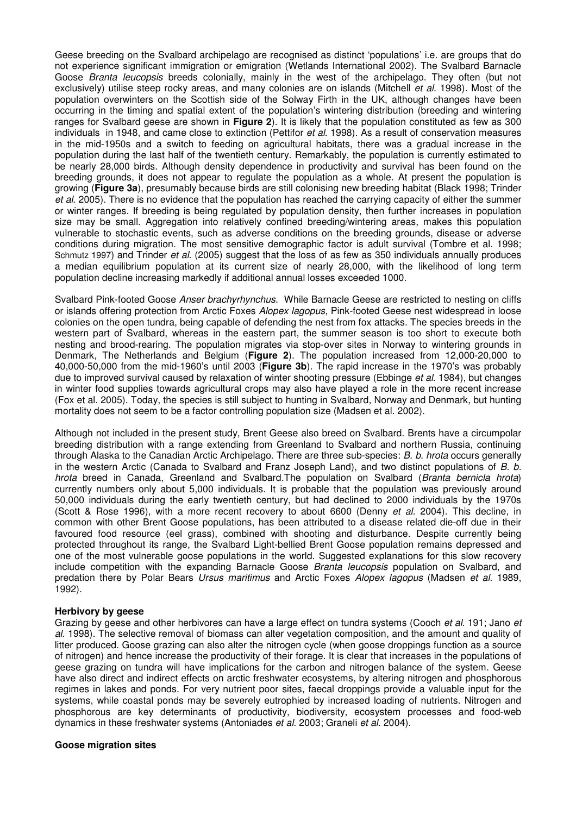Geese breeding on the Svalbard archipelago are recognised as distinct 'populations' i.e. are groups that do not experience significant immigration or emigration (Wetlands International 2002). The Svalbard Barnacle Goose Branta leucopsis breeds colonially, mainly in the west of the archipelago. They often (but not exclusively) utilise steep rocky areas, and many colonies are on islands (Mitchell et al. 1998). Most of the population overwinters on the Scottish side of the Solway Firth in the UK, although changes have been occurring in the timing and spatial extent of the population's wintering distribution (breeding and wintering ranges for Svalbard geese are shown in **Figure 2**). It is likely that the population constituted as few as 300 individuals in 1948, and came close to extinction (Pettifor et al. 1998). As a result of conservation measures in the mid-1950s and a switch to feeding on agricultural habitats, there was a gradual increase in the population during the last half of the twentieth century. Remarkably, the population is currently estimated to be nearly 28,000 birds. Although density dependence in productivity and survival has been found on the breeding grounds, it does not appear to regulate the population as a whole. At present the population is growing (**Figure 3a**), presumably because birds are still colonising new breeding habitat (Black 1998; Trinder et al. 2005). There is no evidence that the population has reached the carrying capacity of either the summer or winter ranges. If breeding is being regulated by population density, then further increases in population size may be small. Aggregation into relatively confined breeding/wintering areas, makes this population vulnerable to stochastic events, such as adverse conditions on the breeding grounds, disease or adverse conditions during migration. The most sensitive demographic factor is adult survival (Tombre et al. 1998; Schmutz 1997) and Trinder et al. (2005) suggest that the loss of as few as 350 individuals annually produces a median equilibrium population at its current size of nearly 28,000, with the likelihood of long term population decline increasing markedly if additional annual losses exceeded 1000.

Svalbard Pink-footed Goose Anser brachyrhynchus. While Barnacle Geese are restricted to nesting on cliffs or islands offering protection from Arctic Foxes Alopex lagopus, Pink-footed Geese nest widespread in loose colonies on the open tundra, being capable of defending the nest from fox attacks. The species breeds in the western part of Svalbard, whereas in the eastern part, the summer season is too short to execute both nesting and brood-rearing. The population migrates via stop-over sites in Norway to wintering grounds in Denmark, The Netherlands and Belgium (**Figure 2**). The population increased from 12,000-20,000 to 40,000-50,000 from the mid-1960's until 2003 (**Figure 3b**). The rapid increase in the 1970's was probably due to improved survival caused by relaxation of winter shooting pressure (Ebbinge et al. 1984), but changes in winter food supplies towards agricultural crops may also have played a role in the more recent increase (Fox et al. 2005). Today, the species is still subject to hunting in Svalbard, Norway and Denmark, but hunting mortality does not seem to be a factor controlling population size (Madsen et al. 2002).

Although not included in the present study, Brent Geese also breed on Svalbard. Brents have a circumpolar breeding distribution with a range extending from Greenland to Svalbard and northern Russia, continuing through Alaska to the Canadian Arctic Archipelago. There are three sub-species: B. b. hrota occurs generally in the western Arctic (Canada to Svalbard and Franz Joseph Land), and two distinct populations of B. b. hrota breed in Canada, Greenland and Svalbard.The population on Svalbard (Branta bernicla hrota) currently numbers only about 5,000 individuals. It is probable that the population was previously around 50,000 individuals during the early twentieth century, but had declined to 2000 individuals by the 1970s (Scott & Rose 1996), with a more recent recovery to about 6600 (Denny et al. 2004). This decline, in common with other Brent Goose populations, has been attributed to a disease related die-off due in their favoured food resource (eel grass), combined with shooting and disturbance. Despite currently being protected throughout its range, the Svalbard Light-bellied Brent Goose population remains depressed and one of the most vulnerable goose populations in the world. Suggested explanations for this slow recovery include competition with the expanding Barnacle Goose *Branta leucopsis* population on Svalbard, and predation there by Polar Bears Ursus maritimus and Arctic Foxes Alopex lagopus (Madsen et al. 1989, 1992).

#### **Herbivory by geese**

Grazing by geese and other herbivores can have a large effect on tundra systems (Cooch et al. 191; Jano et al. 1998). The selective removal of biomass can alter vegetation composition, and the amount and quality of litter produced. Goose grazing can also alter the nitrogen cycle (when goose droppings function as a source of nitrogen) and hence increase the productivity of their forage. It is clear that increases in the populations of geese grazing on tundra will have implications for the carbon and nitrogen balance of the system. Geese have also direct and indirect effects on arctic freshwater ecosystems, by altering nitrogen and phosphorous regimes in lakes and ponds. For very nutrient poor sites, faecal droppings provide a valuable input for the systems, while coastal ponds may be severely eutrophied by increased loading of nutrients. Nitrogen and phosphorous are key determinants of productivity, biodiversity, ecosystem processes and food-web dynamics in these freshwater systems (Antoniades et al. 2003; Graneli et al. 2004).

#### **Goose migration sites**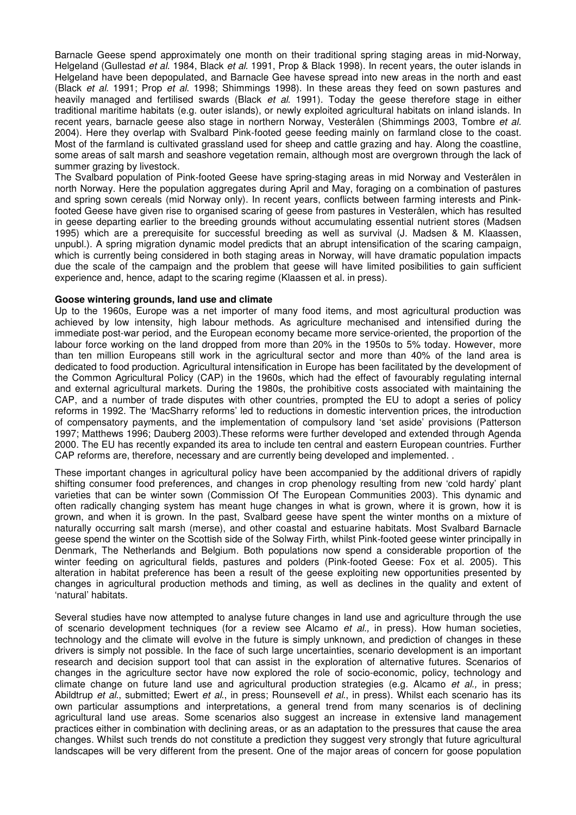Barnacle Geese spend approximately one month on their traditional spring staging areas in mid-Norway, Helgeland (Gullestad et al. 1984, Black et al. 1991, Prop & Black 1998). In recent years, the outer islands in Helgeland have been depopulated, and Barnacle Gee havese spread into new areas in the north and east (Black et al. 1991; Prop et al. 1998; Shimmings 1998). In these areas they feed on sown pastures and heavily managed and fertilised swards (Black et al. 1991). Today the geese therefore stage in either traditional maritime habitats (e.g. outer islands), or newly exploited agricultural habitats on inland islands. In recent years, barnacle geese also stage in northern Norway, Vesterålen (Shimmings 2003, Tombre et al. 2004). Here they overlap with Svalbard Pink-footed geese feeding mainly on farmland close to the coast. Most of the farmland is cultivated grassland used for sheep and cattle grazing and hay. Along the coastline, some areas of salt marsh and seashore vegetation remain, although most are overgrown through the lack of summer grazing by livestock.

The Svalbard population of Pink-footed Geese have spring-staging areas in mid Norway and Vesterålen in north Norway. Here the population aggregates during April and May, foraging on a combination of pastures and spring sown cereals (mid Norway only). In recent years, conflicts between farming interests and Pinkfooted Geese have given rise to organised scaring of geese from pastures in Vesterålen, which has resulted in geese departing earlier to the breeding grounds without accumulating essential nutrient stores (Madsen 1995) which are a prerequisite for successful breeding as well as survival (J. Madsen & M. Klaassen, unpubl.). A spring migration dynamic model predicts that an abrupt intensification of the scaring campaign, which is currently being considered in both staging areas in Norway, will have dramatic population impacts due the scale of the campaign and the problem that geese will have limited posibilities to gain sufficient experience and, hence, adapt to the scaring regime (Klaassen et al. in press).

#### **Goose wintering grounds, land use and climate**

Up to the 1960s, Europe was a net importer of many food items, and most agricultural production was achieved by low intensity, high labour methods. As agriculture mechanised and intensified during the immediate post-war period, and the European economy became more service-oriented, the proportion of the labour force working on the land dropped from more than 20% in the 1950s to 5% today. However, more than ten million Europeans still work in the agricultural sector and more than 40% of the land area is dedicated to food production. Agricultural intensification in Europe has been facilitated by the development of the Common Agricultural Policy (CAP) in the 1960s, which had the effect of favourably regulating internal and external agricultural markets. During the 1980s, the prohibitive costs associated with maintaining the CAP, and a number of trade disputes with other countries, prompted the EU to adopt a series of policy reforms in 1992. The 'MacSharry reforms' led to reductions in domestic intervention prices, the introduction of compensatory payments, and the implementation of compulsory land 'set aside' provisions (Patterson 1997; Matthews 1996; Dauberg 2003).These reforms were further developed and extended through Agenda 2000. The EU has recently expanded its area to include ten central and eastern European countries. Further CAP reforms are, therefore, necessary and are currently being developed and implemented. .

These important changes in agricultural policy have been accompanied by the additional drivers of rapidly shifting consumer food preferences, and changes in crop phenology resulting from new 'cold hardy' plant varieties that can be winter sown (Commission Of The European Communities 2003). This dynamic and often radically changing system has meant huge changes in what is grown, where it is grown, how it is grown, and when it is grown. In the past, Svalbard geese have spent the winter months on a mixture of naturally occurring salt marsh (merse), and other coastal and estuarine habitats. Most Svalbard Barnacle geese spend the winter on the Scottish side of the Solway Firth, whilst Pink-footed geese winter principally in Denmark, The Netherlands and Belgium. Both populations now spend a considerable proportion of the winter feeding on agricultural fields, pastures and polders (Pink-footed Geese: Fox et al. 2005). This alteration in habitat preference has been a result of the geese exploiting new opportunities presented by changes in agricultural production methods and timing, as well as declines in the quality and extent of 'natural' habitats.

Several studies have now attempted to analyse future changes in land use and agriculture through the use of scenario development techniques (for a review see Alcamo et al., in press). How human societies, technology and the climate will evolve in the future is simply unknown, and prediction of changes in these drivers is simply not possible. In the face of such large uncertainties, scenario development is an important research and decision support tool that can assist in the exploration of alternative futures. Scenarios of changes in the agriculture sector have now explored the role of socio-economic, policy, technology and climate change on future land use and agricultural production strategies (e.g. Alcamo et al., in press; Abildtrup et al., submitted; Ewert et al., in press; Rounsevell et al., in press). Whilst each scenario has its own particular assumptions and interpretations, a general trend from many scenarios is of declining agricultural land use areas. Some scenarios also suggest an increase in extensive land management practices either in combination with declining areas, or as an adaptation to the pressures that cause the area changes. Whilst such trends do not constitute a prediction they suggest very strongly that future agricultural landscapes will be very different from the present. One of the major areas of concern for goose population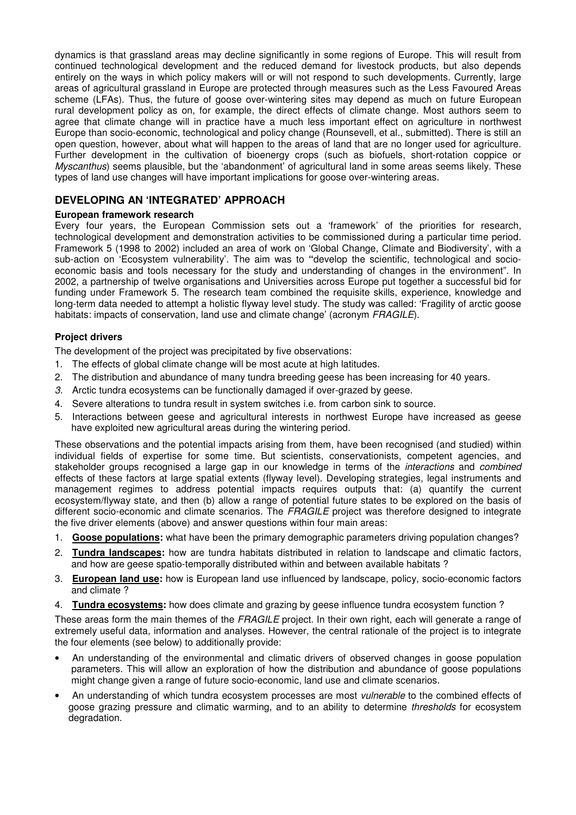dynamics is that grassland areas may decline significantly in some regions of Europe. This will result from continued technological development and the reduced demand for livestock products, but also depends entirely on the ways in which policy makers will or will not respond to such developments. Currently, large areas of agricultural grassland in Europe are protected through measures such as the Less Favoured Areas scheme (LFAs). Thus, the future of goose over-wintering sites may depend as much on future European rural development policy as on, for example, the direct effects of climate change. Most authors seem to agree that climate change will in practice have a much less important effect on agriculture in northwest Europe than socio-economic, technological and policy change (Rounsevell, et al., submitted). There is still an open question, however, about what will happen to the areas of land that are no longer used for agriculture. Further development in the cultivation of bioenergy crops (such as biofuels, short-rotation coppice or Myscanthus) seems plausible, but the 'abandonment' of agricultural land in some areas seems likely. These types of land use changes will have important implications for goose over-wintering areas.

# **DEVELOPING AN 'INTEGRATED' APPROACH**

# **European framework research**

Every four years, the European Commission sets out a 'framework' of the priorities for research, technological development and demonstration activities to be commissioned during a particular time period. Framework 5 (1998 to 2002) included an area of work on 'Global Change, Climate and Biodiversity', with a sub-action on 'Ecosystem vulnerability'. The aim was to **"**develop the scientific, technological and socioeconomic basis and tools necessary for the study and understanding of changes in the environment". In 2002, a partnership of twelve organisations and Universities across Europe put together a successful bid for funding under Framework 5. The research team combined the requisite skills, experience, knowledge and long-term data needed to attempt a holistic flyway level study. The study was called: 'Fragility of arctic goose habitats: impacts of conservation, land use and climate change' (acronym FRAGILE).

# **Project drivers**

The development of the project was precipitated by five observations:

- 1. The effects of global climate change will be most acute at high latitudes.
- 2. The distribution and abundance of many tundra breeding geese has been increasing for 40 years.
- 3. Arctic tundra ecosystems can be functionally damaged if over-grazed by geese.
- 4. Severe alterations to tundra result in system switches i.e. from carbon sink to source.
- 5. Interactions between geese and agricultural interests in northwest Europe have increased as geese have exploited new agricultural areas during the wintering period.

These observations and the potential impacts arising from them, have been recognised (and studied) within individual fields of expertise for some time. But scientists, conservationists, competent agencies, and stakeholder groups recognised a large gap in our knowledge in terms of the *interactions* and *combined* effects of these factors at large spatial extents (flyway level). Developing strategies, legal instruments and management regimes to address potential impacts requires outputs that: (a) quantify the current ecosystem/flyway state, and then (b) allow a range of potential future states to be explored on the basis of different socio-economic and climate scenarios. The FRAGILE project was therefore designed to integrate the five driver elements (above) and answer questions within four main areas:

- 1. **Goose populations:** what have been the primary demographic parameters driving population changes?
- 2. **Tundra landscapes:** how are tundra habitats distributed in relation to landscape and climatic factors, and how are geese spatio-temporally distributed within and between available habitats ?
- 3. **European land use:** how is European land use influenced by landscape, policy, socio-economic factors and climate ?
- 4. **Tundra ecosystems:** how does climate and grazing by geese influence tundra ecosystem function ?

These areas form the main themes of the FRAGILE project. In their own right, each will generate a range of extremely useful data, information and analyses. However, the central rationale of the project is to integrate the four elements (see below) to additionally provide:

- An understanding of the environmental and climatic drivers of observed changes in goose population parameters. This will allow an exploration of how the distribution and abundance of goose populations might change given a range of future socio-economic, land use and climate scenarios.
- An understanding of which tundra ecosystem processes are most *vulnerable* to the combined effects of goose grazing pressure and climatic warming, and to an ability to determine thresholds for ecosystem degradation.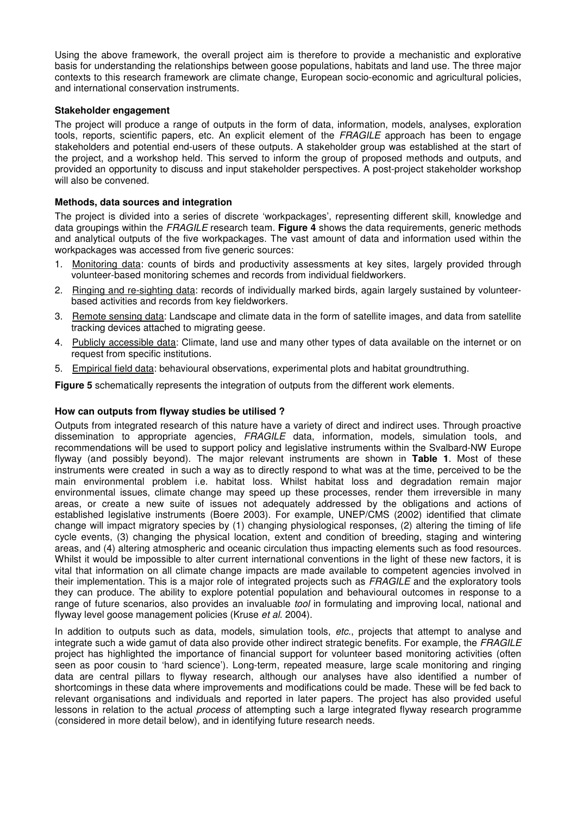Using the above framework, the overall project aim is therefore to provide a mechanistic and explorative basis for understanding the relationships between goose populations, habitats and land use. The three major contexts to this research framework are climate change, European socio-economic and agricultural policies, and international conservation instruments.

# **Stakeholder engagement**

The project will produce a range of outputs in the form of data, information, models, analyses, exploration tools, reports, scientific papers, etc. An explicit element of the FRAGILE approach has been to engage stakeholders and potential end-users of these outputs. A stakeholder group was established at the start of the project, and a workshop held. This served to inform the group of proposed methods and outputs, and provided an opportunity to discuss and input stakeholder perspectives. A post-project stakeholder workshop will also be convened.

# **Methods, data sources and integration**

The project is divided into a series of discrete 'workpackages', representing different skill, knowledge and data groupings within the FRAGILE research team. **Figure 4** shows the data requirements, generic methods and analytical outputs of the five workpackages. The vast amount of data and information used within the workpackages was accessed from five generic sources:

- 1. Monitoring data: counts of birds and productivity assessments at key sites, largely provided through volunteer-based monitoring schemes and records from individual fieldworkers.
- 2. Ringing and re-sighting data: records of individually marked birds, again largely sustained by volunteerbased activities and records from key fieldworkers.
- 3. Remote sensing data: Landscape and climate data in the form of satellite images, and data from satellite tracking devices attached to migrating geese.
- 4. Publicly accessible data: Climate, land use and many other types of data available on the internet or on request from specific institutions.
- 5. Empirical field data: behavioural observations, experimental plots and habitat groundtruthing.

**Figure 5** schematically represents the integration of outputs from the different work elements.

# **How can outputs from flyway studies be utilised ?**

Outputs from integrated research of this nature have a variety of direct and indirect uses. Through proactive dissemination to appropriate agencies, FRAGILE data, information, models, simulation tools, and recommendations will be used to support policy and legislative instruments within the Svalbard-NW Europe flyway (and possibly beyond). The major relevant instruments are shown in **Table 1**. Most of these instruments were created in such a way as to directly respond to what was at the time, perceived to be the main environmental problem i.e. habitat loss. Whilst habitat loss and degradation remain major environmental issues, climate change may speed up these processes, render them irreversible in many areas, or create a new suite of issues not adequately addressed by the obligations and actions of established legislative instruments (Boere 2003). For example, UNEP/CMS (2002) identified that climate change will impact migratory species by (1) changing physiological responses, (2) altering the timing of life cycle events, (3) changing the physical location, extent and condition of breeding, staging and wintering areas, and (4) altering atmospheric and oceanic circulation thus impacting elements such as food resources. Whilst it would be impossible to alter current international conventions in the light of these new factors, it is vital that information on all climate change impacts are made available to competent agencies involved in their implementation. This is a major role of integrated projects such as FRAGILE and the exploratory tools they can produce. The ability to explore potential population and behavioural outcomes in response to a range of future scenarios, also provides an invaluable *tool* in formulating and improving local, national and flyway level goose management policies (Kruse et al. 2004).

In addition to outputs such as data, models, simulation tools, etc., projects that attempt to analyse and integrate such a wide gamut of data also provide other indirect strategic benefits. For example, the FRAGILE project has highlighted the importance of financial support for volunteer based monitoring activities (often seen as poor cousin to 'hard science'). Long-term, repeated measure, large scale monitoring and ringing data are central pillars to flyway research, although our analyses have also identified a number of shortcomings in these data where improvements and modifications could be made. These will be fed back to relevant organisations and individuals and reported in later papers. The project has also provided useful lessons in relation to the actual *process* of attempting such a large integrated flyway research programme (considered in more detail below), and in identifying future research needs.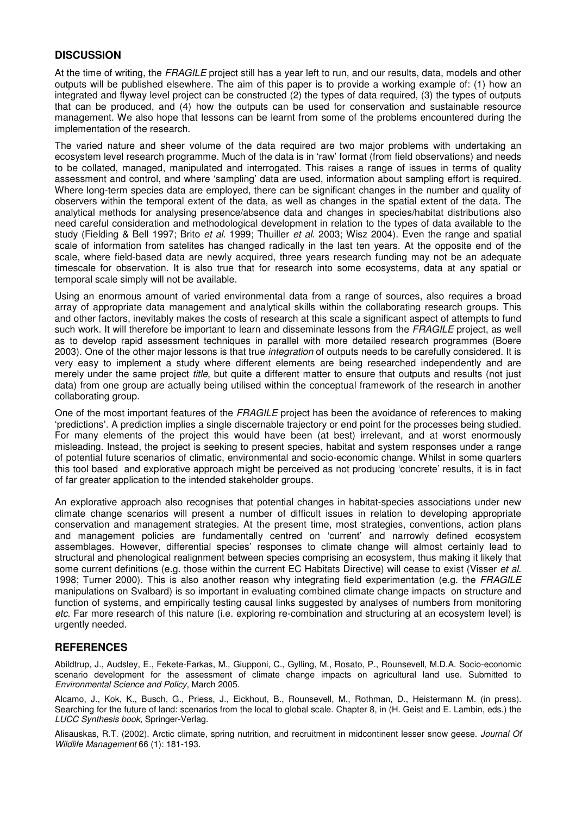# **DISCUSSION**

At the time of writing, the FRAGILE project still has a year left to run, and our results, data, models and other outputs will be published elsewhere. The aim of this paper is to provide a working example of: (1) how an integrated and flyway level project can be constructed (2) the types of data required, (3) the types of outputs that can be produced, and (4) how the outputs can be used for conservation and sustainable resource management. We also hope that lessons can be learnt from some of the problems encountered during the implementation of the research.

The varied nature and sheer volume of the data required are two major problems with undertaking an ecosystem level research programme. Much of the data is in 'raw' format (from field observations) and needs to be collated, managed, manipulated and interrogated. This raises a range of issues in terms of quality assessment and control, and where 'sampling' data are used, information about sampling effort is required. Where long-term species data are employed, there can be significant changes in the number and quality of observers within the temporal extent of the data, as well as changes in the spatial extent of the data. The analytical methods for analysing presence/absence data and changes in species/habitat distributions also need careful consideration and methodological development in relation to the types of data available to the study (Fielding & Bell 1997; Brito et al. 1999; Thuiller et al. 2003; Wisz 2004). Even the range and spatial scale of information from satelites has changed radically in the last ten years. At the opposite end of the scale, where field-based data are newly acquired, three years research funding may not be an adequate timescale for observation. It is also true that for research into some ecosystems, data at any spatial or temporal scale simply will not be available.

Using an enormous amount of varied environmental data from a range of sources, also requires a broad array of appropriate data management and analytical skills within the collaborating research groups. This and other factors, inevitably makes the costs of research at this scale a significant aspect of attempts to fund such work. It will therefore be important to learn and disseminate lessons from the FRAGILE project, as well as to develop rapid assessment techniques in parallel with more detailed research programmes (Boere 2003). One of the other major lessons is that true integration of outputs needs to be carefully considered. It is very easy to implement a study where different elements are being researched independently and are merely under the same project title, but quite a different matter to ensure that outputs and results (not just data) from one group are actually being utilised within the conceptual framework of the research in another collaborating group.

One of the most important features of the FRAGILE project has been the avoidance of references to making 'predictions'. A prediction implies a single discernable trajectory or end point for the processes being studied. For many elements of the project this would have been (at best) irrelevant, and at worst enormously misleading. Instead, the project is seeking to present species, habitat and system responses under a range of potential future scenarios of climatic, environmental and socio-economic change. Whilst in some quarters this tool based and explorative approach might be perceived as not producing 'concrete' results, it is in fact of far greater application to the intended stakeholder groups.

An explorative approach also recognises that potential changes in habitat-species associations under new climate change scenarios will present a number of difficult issues in relation to developing appropriate conservation and management strategies. At the present time, most strategies, conventions, action plans and management policies are fundamentally centred on 'current' and narrowly defined ecosystem assemblages. However, differential species' responses to climate change will almost certainly lead to structural and phenological realignment between species comprising an ecosystem, thus making it likely that some current definitions (e.g. those within the current EC Habitats Directive) will cease to exist (Visser et al. 1998; Turner 2000). This is also another reason why integrating field experimentation (e.g. the FRAGILE manipulations on Svalbard) is so important in evaluating combined climate change impacts on structure and function of systems, and empirically testing causal links suggested by analyses of numbers from monitoring etc. Far more research of this nature (i.e. exploring re-combination and structuring at an ecosystem level) is urgently needed.

# **REFERENCES**

Abildtrup, J., Audsley, E., Fekete-Farkas, M., Giupponi, C., Gylling, M., Rosato, P., Rounsevell, M.D.A. Socio-economic scenario development for the assessment of climate change impacts on agricultural land use. Submitted to Environmental Science and Policy, March 2005.

Alcamo, J., Kok, K., Busch, G., Priess, J., Eickhout, B., Rounsevell, M., Rothman, D., Heistermann M. (in press). Searching for the future of land: scenarios from the local to global scale. Chapter 8, in (H. Geist and E. Lambin, eds.) the LUCC Synthesis book, Springer-Verlag.

Alisauskas, R.T. (2002). Arctic climate, spring nutrition, and recruitment in midcontinent lesser snow geese. Journal Of Wildlife Management 66 (1): 181-193.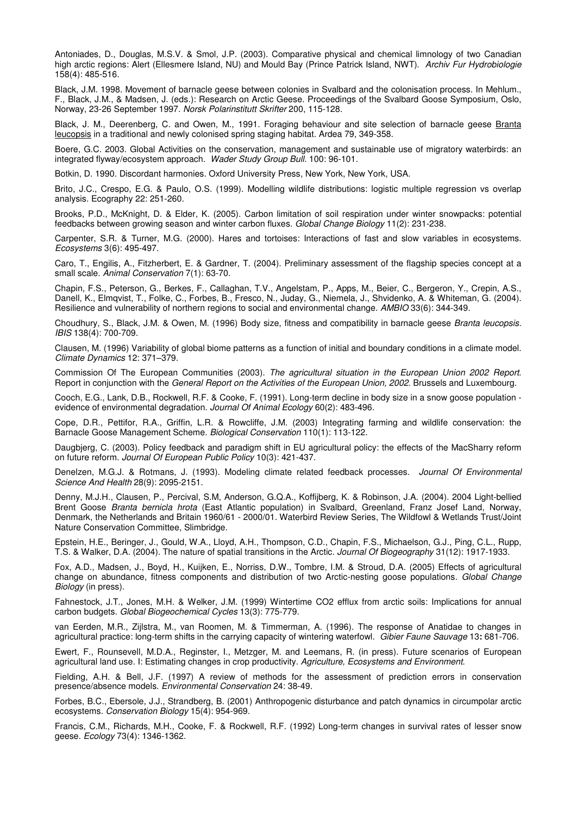Antoniades, D., Douglas, M.S.V. & Smol, J.P. (2003). Comparative physical and chemical limnology of two Canadian high arctic regions: Alert (Ellesmere Island, NU) and Mould Bay (Prince Patrick Island, NWT). Archiv Fur Hydrobiologie 158(4): 485-516.

Black, J.M. 1998. Movement of barnacle geese between colonies in Svalbard and the colonisation process. In Mehlum., F., Black, J.M., & Madsen, J. (eds.): Research on Arctic Geese. Proceedings of the Svalbard Goose Symposium, Oslo, Norway, 23-26 September 1997. Norsk Polarinstitutt Skrifter 200, 115-128.

Black, J. M., Deerenberg, C. and Owen, M., 1991. Foraging behaviour and site selection of barnacle geese Branta leucopsis in a traditional and newly colonised spring staging habitat. Ardea 79, 349-358.

Boere, G.C. 2003. Global Activities on the conservation, management and sustainable use of migratory waterbirds: an integrated flyway/ecosystem approach. Wader Study Group Bull. 100: 96-101.

Botkin, D. 1990. Discordant harmonies. Oxford University Press, New York, New York, USA.

Brito, J.C., Crespo, E.G. & Paulo, O.S. (1999). Modelling wildlife distributions: logistic multiple regression vs overlap analysis. Ecography 22: 251-260.

Brooks, P.D., McKnight, D. & Elder, K. (2005). Carbon limitation of soil respiration under winter snowpacks: potential feedbacks between growing season and winter carbon fluxes. Global Change Biology 11(2): 231-238.

Carpenter, S.R. & Turner, M.G. (2000). Hares and tortoises: Interactions of fast and slow variables in ecosystems. Ecosystems 3(6): 495-497.

Caro, T., Engilis, A., Fitzherbert, E. & Gardner, T. (2004). Preliminary assessment of the flagship species concept at a small scale. Animal Conservation 7(1): 63-70.

Chapin, F.S., Peterson, G., Berkes, F., Callaghan, T.V., Angelstam, P., Apps, M., Beier, C., Bergeron, Y., Crepin, A.S., Danell, K., Elmqvist, T., Folke, C., Forbes, B., Fresco, N., Juday, G., Niemela, J., Shvidenko, A. & Whiteman, G. (2004). Resilience and vulnerability of northern regions to social and environmental change. AMBIO 33(6): 344-349.

Choudhury, S., Black, J.M. & Owen, M. (1996) Body size, fitness and compatibility in barnacle geese Branta leucopsis. IBIS 138(4): 700-709.

Clausen, M. (1996) Variability of global biome patterns as a function of initial and boundary conditions in a climate model. Climate Dynamics 12: 371–379.

Commission Of The European Communities (2003). The agricultural situation in the European Union 2002 Report. Report in conjunction with the General Report on the Activities of the European Union, 2002. Brussels and Luxembourg.

Cooch, E.G., Lank, D.B., Rockwell, R.F. & Cooke, F. (1991). Long-term decline in body size in a snow goose population evidence of environmental degradation. Journal Of Animal Ecology 60(2): 483-496.

Cope, D.R., Pettifor, R.A., Griffin, L.R. & Rowcliffe, J.M. (2003) Integrating farming and wildlife conservation: the Barnacle Goose Management Scheme. Biological Conservation 110(1): 113-122.

Daugbjerg, C. (2003). Policy feedback and paradigm shift in EU agricultural policy: the effects of the MacSharry reform on future reform. Journal Of European Public Policy 10(3): 421-437.

Denelzen, M.G.J. & Rotmans, J. (1993). Modeling climate related feedback processes. Journal Of Environmental Science And Health 28(9): 2095-2151.

Denny, M.J.H., Clausen, P., Percival, S.M, Anderson, G.Q.A., Koffijberg, K. & Robinson, J.A. (2004). 2004 Light-bellied Brent Goose Branta bernicla hrota (East Atlantic population) in Svalbard, Greenland, Franz Josef Land, Norway, Denmark, the Netherlands and Britain 1960/61 - 2000/01. Waterbird Review Series, The Wildfowl & Wetlands Trust/Joint Nature Conservation Committee, Slimbridge.

Epstein, H.E., Beringer, J., Gould, W.A., Lloyd, A.H., Thompson, C.D., Chapin, F.S., Michaelson, G.J., Ping, C.L., Rupp, T.S. & Walker, D.A. (2004). The nature of spatial transitions in the Arctic. Journal Of Biogeography 31(12): 1917-1933.

Fox, A.D., Madsen, J., Boyd, H., Kuijken, E., Norriss, D.W., Tombre, I.M. & Stroud, D.A. (2005) Effects of agricultural change on abundance, fitness components and distribution of two Arctic-nesting goose populations. Global Change Biology (in press).

Fahnestock, J.T., Jones, M.H. & Welker, J.M. (1999) Wintertime CO2 efflux from arctic soils: Implications for annual carbon budgets. Global Biogeochemical Cycles 13(3): 775-779.

van Eerden, M.R., Zijlstra, M., van Roomen, M. & Timmerman, A. (1996). The response of Anatidae to changes in agricultural practice: long-term shifts in the carrying capacity of wintering waterfowl. Gibier Faune Sauvage 13**:** 681-706.

Ewert, F., Rounsevell, M.D.A., Reginster, I., Metzger, M. and Leemans, R. (in press). Future scenarios of European agricultural land use. I: Estimating changes in crop productivity. Agriculture, Ecosystems and Environment.

Fielding, A.H. & Bell, J.F. (1997) A review of methods for the assessment of prediction errors in conservation presence/absence models. Environmental Conservation 24: 38-49.

Forbes, B.C., Ebersole, J.J., Strandberg, B. (2001) Anthropogenic disturbance and patch dynamics in circumpolar arctic ecosystems. Conservation Biology 15(4): 954-969.

Francis, C.M., Richards, M.H., Cooke, F. & Rockwell, R.F. (1992) Long-term changes in survival rates of lesser snow geese. Ecology 73(4): 1346-1362.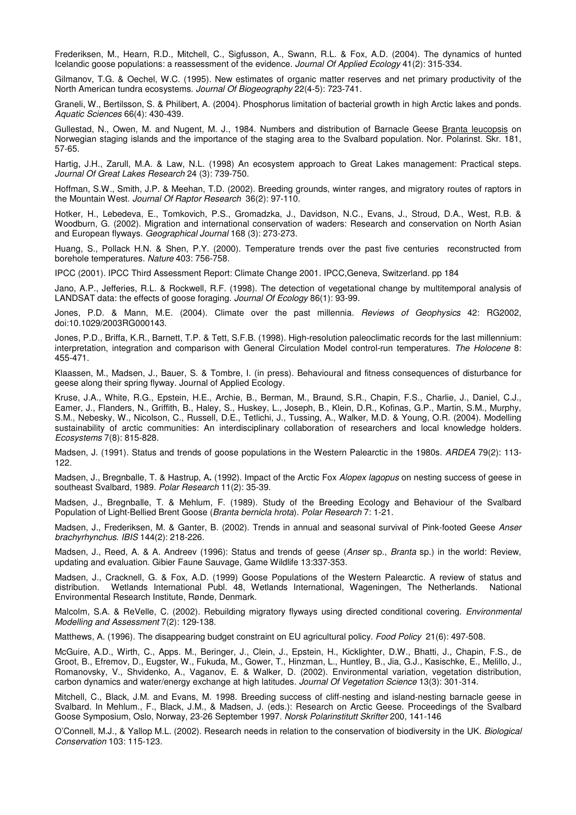Frederiksen, M., Hearn, R.D., Mitchell, C., Sigfusson, A., Swann, R.L. & Fox, A.D. (2004). The dynamics of hunted Icelandic goose populations: a reassessment of the evidence. Journal Of Applied Ecology 41(2): 315-334.

Gilmanov, T.G. & Oechel, W.C. (1995). New estimates of organic matter reserves and net primary productivity of the North American tundra ecosystems. Journal Of Biogeography 22(4-5): 723-741.

Graneli, W., Bertilsson, S. & Philibert, A. (2004). Phosphorus limitation of bacterial growth in high Arctic lakes and ponds. Aquatic Sciences 66(4): 430-439.

Gullestad, N., Owen, M. and Nugent, M. J., 1984. Numbers and distribution of Barnacle Geese Branta leucopsis on Norwegian staging islands and the importance of the staging area to the Svalbard population. Nor. Polarinst. Skr. 181, 57-65.

Hartig, J.H., Zarull, M.A. & Law, N.L. (1998) An ecosystem approach to Great Lakes management: Practical steps. Journal Of Great Lakes Research 24 (3): 739-750.

Hoffman, S.W., Smith, J.P. & Meehan, T.D. (2002). Breeding grounds, winter ranges, and migratory routes of raptors in the Mountain West. Journal Of Raptor Research 36(2): 97-110.

Hotker, H., Lebedeva, E., Tomkovich, P.S., Gromadzka, J., Davidson, N.C., Evans, J., Stroud, D.A., West, R.B. & Woodburn, G. (2002). Migration and international conservation of waders: Research and conservation on North Asian and European flyways. Geographical Journal 168 (3): 273-273.

Huang, S., Pollack H.N. & Shen, P.Y. (2000). Temperature trends over the past five centuries reconstructed from borehole temperatures. Nature 403: 756-758.

IPCC (2001). IPCC Third Assessment Report: Climate Change 2001. IPCC,Geneva, Switzerland. pp 184

Jano, A.P., Jefferies, R.L. & Rockwell, R.F. (1998). The detection of vegetational change by multitemporal analysis of LANDSAT data: the effects of goose foraging. Journal Of Ecology 86(1): 93-99.

Jones, P.D. & Mann, M.E. (2004). Climate over the past millennia. Reviews of Geophysics 42: RG2002, doi:10.1029/2003RG000143.

Jones, P.D., Briffa, K.R., Barnett, T.P. & Tett, S.F.B. (1998). High-resolution paleoclimatic records for the last millennium: interpretation, integration and comparison with General Circulation Model control-run temperatures. The Holocene 8: 455-471.

Klaassen, M., Madsen, J., Bauer, S. & Tombre, I. (in press). Behavioural and fitness consequences of disturbance for geese along their spring flyway. Journal of Applied Ecology.

Kruse, J.A., White, R.G., Epstein, H.E., Archie, B., Berman, M., Braund, S.R., Chapin, F.S., Charlie, J., Daniel, C.J., Eamer, J., Flanders, N., Griffith, B., Haley, S., Huskey, L., Joseph, B., Klein, D.R., Kofinas, G.P., Martin, S.M., Murphy, S.M., Nebesky, W., Nicolson, C., Russell, D.E., Tetlichi, J., Tussing, A., Walker, M.D. & Young, O.R. (2004). Modelling sustainability of arctic communities: An interdisciplinary collaboration of researchers and local knowledge holders. Ecosystems 7(8): 815-828.

Madsen, J. (1991). Status and trends of goose populations in the Western Palearctic in the 1980s. ARDEA 79(2): 113-122.

Madsen, J., Bregnballe, T. & Hastrup, A**.** (1992). Impact of the Arctic Fox Alopex lagopus on nesting success of geese in southeast Svalbard, 1989. Polar Research 11(2): 35-39.

Madsen, J., Bregnballe, T. & Mehlum, F. (1989). Study of the Breeding Ecology and Behaviour of the Svalbard Population of Light-Bellied Brent Goose (Branta bernicla hrota). Polar Research 7: 1-21.

Madsen, J., Frederiksen, M. & Ganter, B. (2002). Trends in annual and seasonal survival of Pink-footed Geese Anser brachyrhynchus. IBIS 144(2): 218-226.

Madsen, J., Reed, A. & A. Andreev (1996): Status and trends of geese (Anser sp., Branta sp.) in the world: Review, updating and evaluation. Gibier Faune Sauvage, Game Wildlife 13:337-353.

Madsen, J., Cracknell, G. & Fox, A.D. (1999) Goose Populations of the Western Palearctic. A review of status and distribution. Wetlands International Publ. 48, Wetlands International, Wageningen, The Netherlands. National Environmental Research Institute, Rønde, Denmark.

Malcolm, S.A. & ReVelle, C. (2002). Rebuilding migratory flyways using directed conditional covering. *Environmental* Modelling and Assessment 7(2): 129-138.

Matthews, A. (1996). The disappearing budget constraint on EU agricultural policy. Food Policy 21(6): 497-508.

McGuire, A.D., Wirth, C., Apps. M., Beringer, J., Clein, J., Epstein, H., Kicklighter, D.W., Bhatti, J., Chapin, F.S., de Groot, B., Efremov, D., Eugster, W., Fukuda, M., Gower, T., Hinzman, L., Huntley, B., Jia, G.J., Kasischke, E., Melillo, J., Romanovsky, V., Shvidenko, A., Vaganov, E. & Walker, D. (2002). Environmental variation, vegetation distribution, carbon dynamics and water/energy exchange at high latitudes. Journal Of Vegetation Science 13(3): 301-314.

Mitchell, C., Black, J.M. and Evans, M. 1998. Breeding success of cliff-nesting and island-nesting barnacle geese in Svalbard. In Mehlum., F., Black, J.M., & Madsen, J. (eds.): Research on Arctic Geese. Proceedings of the Svalbard Goose Symposium, Oslo, Norway, 23-26 September 1997. Norsk Polarinstitutt Skrifter 200, 141-146

O'Connell, M.J., & Yallop M.L. (2002). Research needs in relation to the conservation of biodiversity in the UK. Biological Conservation 103: 115-123.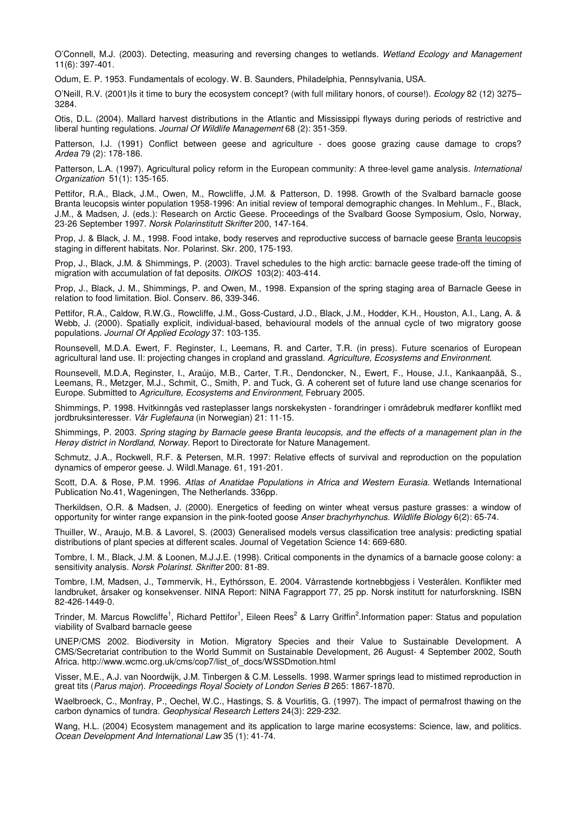O'Connell, M.J. (2003). Detecting, measuring and reversing changes to wetlands. Wetland Ecology and Management 11(6): 397-401.

Odum, E. P. 1953. Fundamentals of ecology. W. B. Saunders, Philadelphia, Pennsylvania, USA.

O'Neill, R.V. (2001)Is it time to bury the ecosystem concept? (with full military honors, of course!). Ecology 82 (12) 3275– 3284.

Otis, D.L. (2004). Mallard harvest distributions in the Atlantic and Mississippi flyways during periods of restrictive and liberal hunting regulations. Journal Of Wildlife Management 68 (2): 351-359.

Patterson, I.J. (1991) Conflict between geese and agriculture - does goose grazing cause damage to crops? Ardea 79 (2): 178-186.

Patterson, L.A. (1997). Agricultural policy reform in the European community: A three-level game analysis. International Organization 51(1): 135-165.

Pettifor, R.A., Black, J.M., Owen, M., Rowcliffe, J.M. & Patterson, D. 1998. Growth of the Svalbard barnacle goose Branta leucopsis winter population 1958-1996: An initial review of temporal demographic changes. In Mehlum., F., Black, J.M., & Madsen, J. (eds.): Research on Arctic Geese. Proceedings of the Svalbard Goose Symposium, Oslo, Norway, 23-26 September 1997. Norsk Polarinstitutt Skrifter 200, 147-164.

Prop, J. & Black, J. M., 1998. Food intake, body reserves and reproductive success of barnacle geese Branta leucopsis staging in different habitats. Nor. Polarinst. Skr. 200, 175-193.

Prop, J., Black, J.M. & Shimmings, P. (2003). Travel schedules to the high arctic: barnacle geese trade-off the timing of migration with accumulation of fat deposits. OIKOS 103(2): 403-414.

Prop, J., Black, J. M., Shimmings, P. and Owen, M., 1998. Expansion of the spring staging area of Barnacle Geese in relation to food limitation. Biol. Conserv. 86, 339-346.

Pettifor, R.A., Caldow, R.W.G., Rowcliffe, J.M., Goss-Custard, J.D., Black, J.M., Hodder, K.H., Houston, A.I., Lang, A. & Webb, J. (2000). Spatially explicit, individual-based, behavioural models of the annual cycle of two migratory goose populations. Journal Of Applied Ecology 37: 103-135.

Rounsevell, M.D.A. Ewert, F. Reginster, I., Leemans, R. and Carter, T.R. (in press). Future scenarios of European agricultural land use. II: projecting changes in cropland and grassland. Agriculture, Ecosystems and Environment.

Rounsevell, M.D.A, Reginster, I., Araújo, M.B., Carter, T.R., Dendoncker, N., Ewert, F., House, J.I., Kankaanpää, S., Leemans, R., Metzger, M.J., Schmit, C., Smith, P. and Tuck, G. A coherent set of future land use change scenarios for Europe. Submitted to Agriculture, Ecosystems and Environment, February 2005.

Shimmings, P. 1998. Hvitkinngås ved rasteplasser langs norskekysten - forandringer i områdebruk medfører konflikt med jordbruksinteresser. Vår Fuglefauna (in Norwegian) 21: 11-15.

Shimmings, P. 2003. Spring staging by Barnacle geese Branta leucopsis, and the effects of a management plan in the Herøy district in Nordland, Norway. Report to Directorate for Nature Management.

Schmutz, J.A., Rockwell, R.F. & Petersen, M.R. 1997: Relative effects of survival and reproduction on the population dynamics of emperor geese. J. Wildl.Manage. 61, 191-201.

Scott, D.A. & Rose, P.M. 1996. Atlas of Anatidae Populations in Africa and Western Eurasia. Wetlands International Publication No.41, Wageningen, The Netherlands. 336pp.

Therkildsen, O.R. & Madsen, J. (2000). Energetics of feeding on winter wheat versus pasture grasses: a window of opportunity for winter range expansion in the pink-footed goose Anser brachyrhynchus. Wildlife Biology 6(2): 65-74.

Thuiller, W., Araujo, M.B. & Lavorel, S. (2003) Generalised models versus classification tree analysis: predicting spatial distributions of plant species at different scales. Journal of Vegetation Science 14: 669-680.

Tombre, I. M., Black, J.M. & Loonen, M.J.J.E. (1998). Critical components in the dynamics of a barnacle goose colony: a sensitivity analysis. Norsk Polarinst. Skrifter 200: 81-89.

Tombre, I.M, Madsen, J., Tømmervik, H., Eythórsson, E. 2004. Vårrastende kortnebbgjess i Vesterålen. Konflikter med landbruket, årsaker og konsekvenser. NINA Report: NINA Fagrapport 77, 25 pp. Norsk institutt for naturforskning. ISBN 82-426-1449-0.

Trinder, M. Marcus Rowcliffe<sup>1</sup>, Richard Pettifor<sup>1</sup>, Eileen Rees<sup>2</sup> & Larry Griffin<sup>2</sup>.Information paper: Status and population viability of Svalbard barnacle geese

UNEP/CMS 2002. Biodiversity in Motion. Migratory Species and their Value to Sustainable Development. A CMS/Secretariat contribution to the World Summit on Sustainable Development, 26 August- 4 September 2002, South Africa. http://www.wcmc.org.uk/cms/cop7/list\_of\_docs/WSSDmotion.html

Visser, M.E., A.J. van Noordwijk, J.M. Tinbergen & C.M. Lessells. 1998. Warmer springs lead to mistimed reproduction in great tits (Parus major). Proceedings Royal Society of London Series B 265: 1867-1870.

Waelbroeck, C., Monfray, P., Oechel, W.C., Hastings, S. & Vourlitis, G. (1997). The impact of permafrost thawing on the carbon dynamics of tundra. Geophysical Research Letters 24(3): 229-232.

Wang, H.L. (2004) Ecosystem management and its application to large marine ecosystems: Science, law, and politics. Ocean Development And International Law 35 (1): 41-74.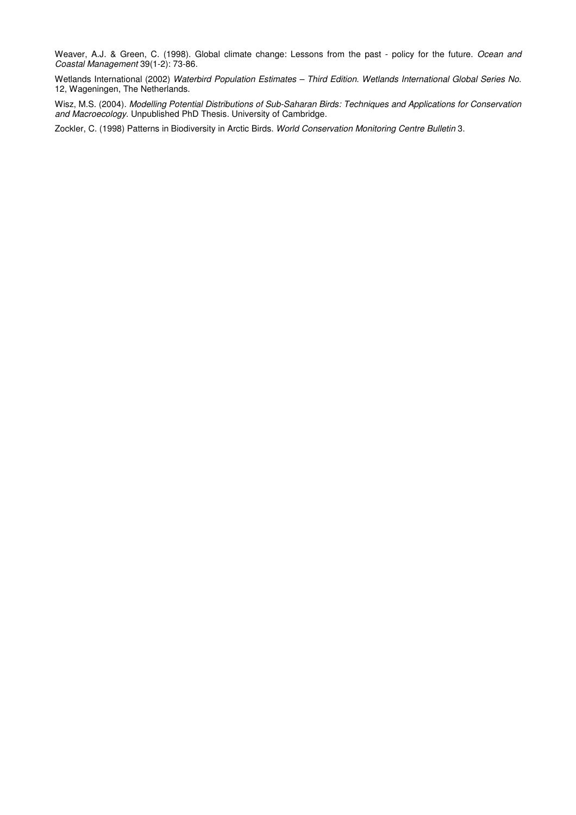Weaver, A.J. & Green, C. (1998). Global climate change: Lessons from the past - policy for the future. Ocean and Coastal Management 39(1-2): 73-86.

Wetlands International (2002) Waterbird Population Estimates – Third Edition. Wetlands International Global Series No. 12, Wageningen, The Netherlands.

Wisz, M.S. (2004). Modelling Potential Distributions of Sub-Saharan Birds: Techniques and Applications for Conservation and Macroecology. Unpublished PhD Thesis. University of Cambridge.

Zockler, C. (1998) Patterns in Biodiversity in Arctic Birds. World Conservation Monitoring Centre Bulletin 3.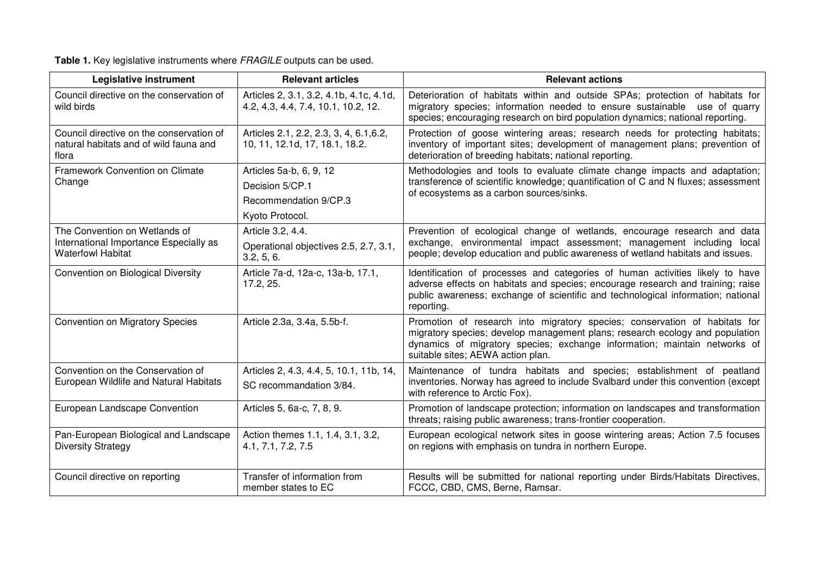| Legislative instrument                                                                              | <b>Relevant articles</b>                                                               | <b>Relevant actions</b>                                                                                                                                                                                                                                                      |
|-----------------------------------------------------------------------------------------------------|----------------------------------------------------------------------------------------|------------------------------------------------------------------------------------------------------------------------------------------------------------------------------------------------------------------------------------------------------------------------------|
| Council directive on the conservation of<br>wild birds                                              | Articles 2, 3.1, 3.2, 4.1b, 4.1c, 4.1d,<br>4.2, 4.3, 4.4, 7.4, 10.1, 10.2, 12.         | Deterioration of habitats within and outside SPAs; protection of habitats for<br>migratory species; information needed to ensure sustainable use of quarry<br>species; encouraging research on bird population dynamics; national reporting.                                 |
| Council directive on the conservation of<br>natural habitats and of wild fauna and<br>flora         | Articles 2.1, 2.2, 2.3, 3, 4, 6.1, 6.2,<br>10, 11, 12.1d, 17, 18.1, 18.2.              | Protection of goose wintering areas; research needs for protecting habitats;<br>inventory of important sites; development of management plans; prevention of<br>deterioration of breeding habitats; national reporting.                                                      |
| Framework Convention on Climate<br>Change                                                           | Articles 5a-b, 6, 9, 12<br>Decision 5/CP.1<br>Recommendation 9/CP.3<br>Kyoto Protocol. | Methodologies and tools to evaluate climate change impacts and adaptation;<br>transference of scientific knowledge; quantification of C and N fluxes; assessment<br>of ecosystems as a carbon sources/sinks.                                                                 |
| The Convention on Wetlands of<br>International Importance Especially as<br><b>Waterfowl Habitat</b> | Article 3.2, 4.4.<br>Operational objectives 2.5, 2.7, 3.1,<br>3.2, 5, 6.               | Prevention of ecological change of wetlands, encourage research and data<br>exchange, environmental impact assessment; management including local<br>people; develop education and public awareness of wetland habitats and issues.                                          |
| Convention on Biological Diversity                                                                  | Article 7a-d, 12a-c, 13a-b, 17.1,<br>17.2, 25.                                         | Identification of processes and categories of human activities likely to have<br>adverse effects on habitats and species; encourage research and training; raise<br>public awareness; exchange of scientific and technological information; national<br>reporting.           |
| <b>Convention on Migratory Species</b>                                                              | Article 2.3a, 3.4a, 5.5b-f.                                                            | Promotion of research into migratory species; conservation of habitats for<br>migratory species; develop management plans; research ecology and population<br>dynamics of migratory species; exchange information; maintain networks of<br>suitable sites; AEWA action plan. |
| Convention on the Conservation of<br>European Wildlife and Natural Habitats                         | Articles 2, 4.3, 4.4, 5, 10.1, 11b, 14,<br>SC recommandation 3/84.                     | Maintenance of tundra habitats and species; establishment of peatland<br>inventories. Norway has agreed to include Svalbard under this convention (except<br>with reference to Arctic Fox).                                                                                  |
| European Landscape Convention                                                                       | Articles 5, 6a-c, 7, 8, 9.                                                             | Promotion of landscape protection; information on landscapes and transformation<br>threats; raising public awareness; trans-frontier cooperation.                                                                                                                            |
| Pan-European Biological and Landscape<br>Diversity Strategy                                         | Action themes 1.1, 1.4, 3.1, 3.2,<br>4.1, 7.1, 7.2, 7.5                                | European ecological network sites in goose wintering areas; Action 7.5 focuses<br>on regions with emphasis on tundra in northern Europe.                                                                                                                                     |
| Council directive on reporting                                                                      | Transfer of information from<br>member states to EC                                    | Results will be submitted for national reporting under Birds/Habitats Directives,<br>FCCC, CBD, CMS, Berne, Ramsar.                                                                                                                                                          |

Table 1. Key legislative instruments where FRAGILE outputs can be used.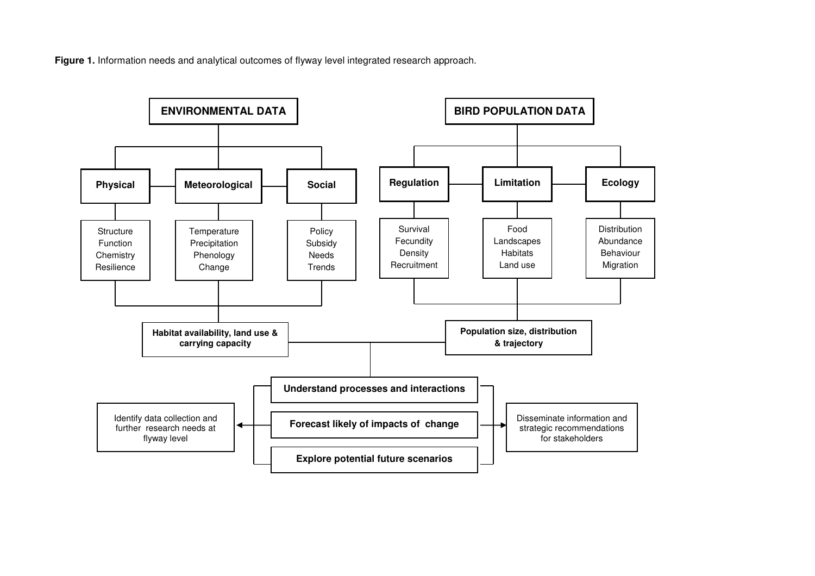**Figure 1.** Information needs and analytical outcomes of flyway level integrated research approach.

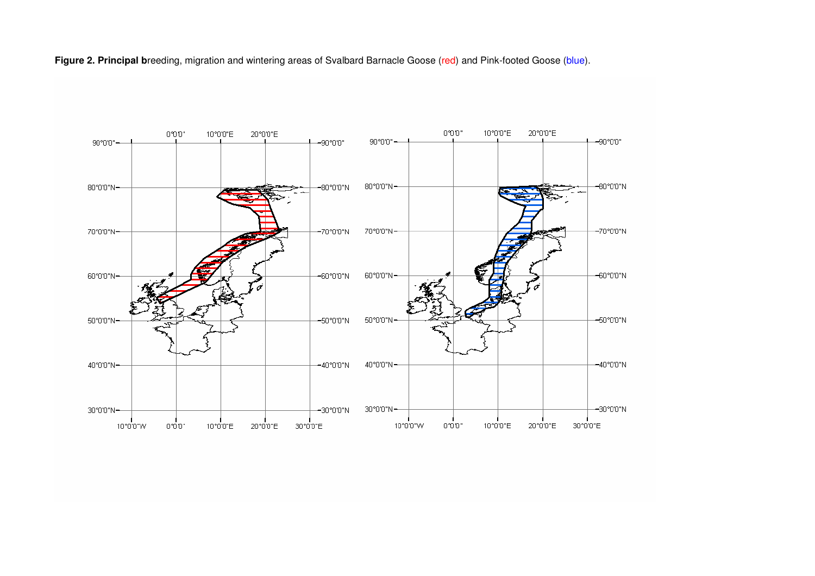Figure 2. Principal breeding, migration and wintering areas of Svalbard Barnacle Goose (red) and Pink-footed Goose (blue).

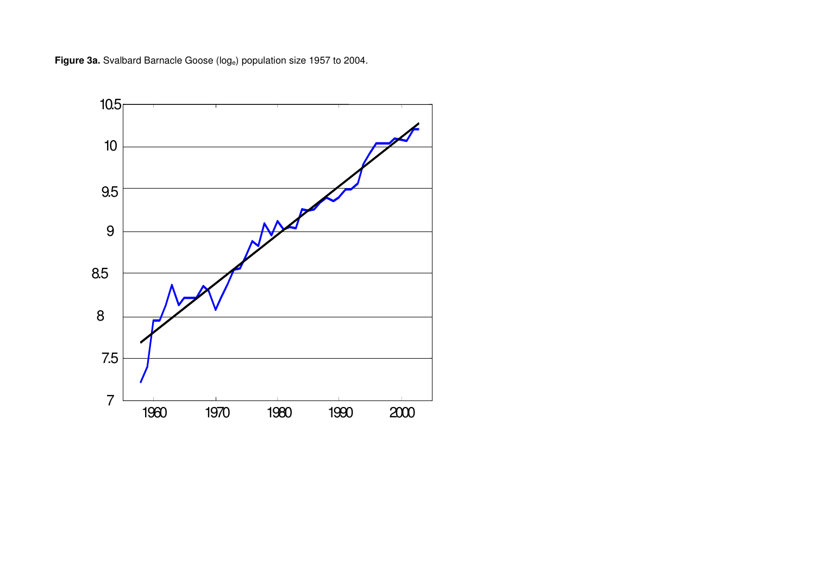Figure 3a. Svalbard Barnacle Goose (log<sub>e</sub>) population size 1957 to 2004.

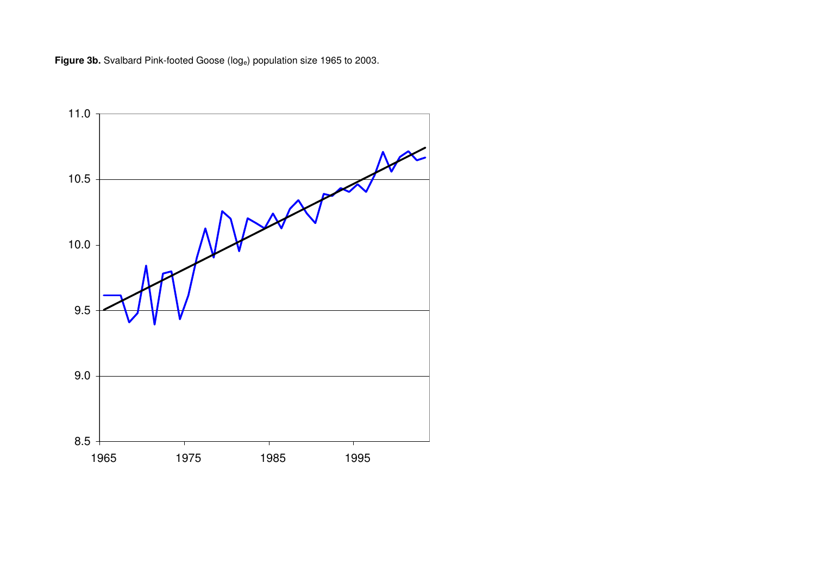**Figure 3b.** Svalbard Pink-footed Goose (log<sub>e</sub>) population size 1965 to 2003.

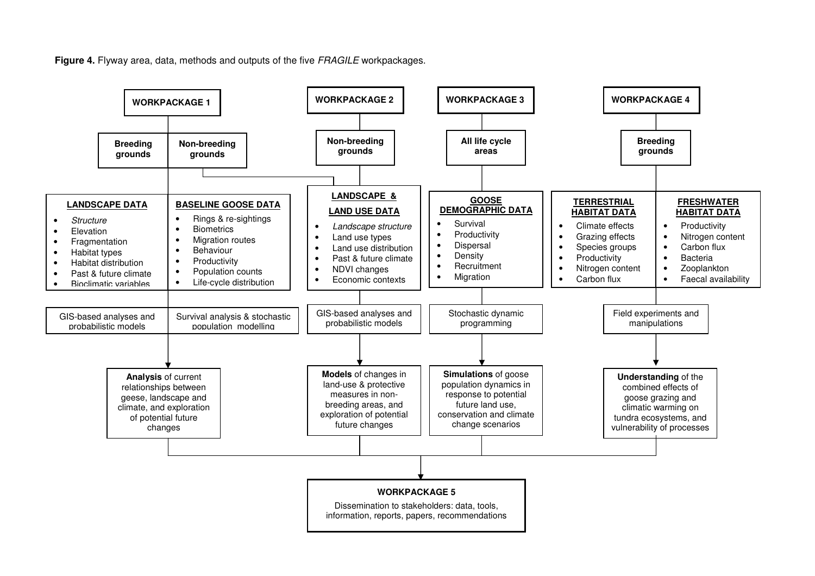**Figure 4.** Flyway area, data, methods and outputs of the five FRAGILE workpackages.